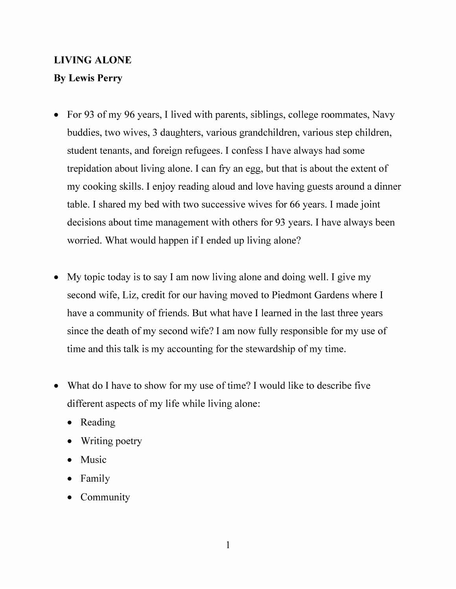# **LIVING ALONE**

## **By Lewis Perry**

- For 93 of my 96 years, I lived with parents, siblings, college roommates, Navy buddies, two wives, 3 daughters, various grandchildren, various step children, student tenants, and foreign refugees. I confess I have always had some trepidation about living alone. I can fry an egg, but that is about the extent of my cooking skills. I enjoy reading aloud and love having guests around a dinner table. I shared my bed with two successive wives for 66 years. I made joint decisions about time management with others for 93 years. I have always been worried. What would happen if I ended up living alone?
- My topic today is to say I am now living alone and doing well. I give my second wife, Liz, credit for our having moved to Piedmont Gardens where I have a community of friends. But what have I learned in the last three years since the death of my second wife? I am now fully responsible for my use of time and this talk is my accounting for the stewardship of my time.
- What do I have to show for my use of time? I would like to describe five different aspects of my life while living alone:
	- Reading
	- Writing poetry
	- Music
	- Family
	- Community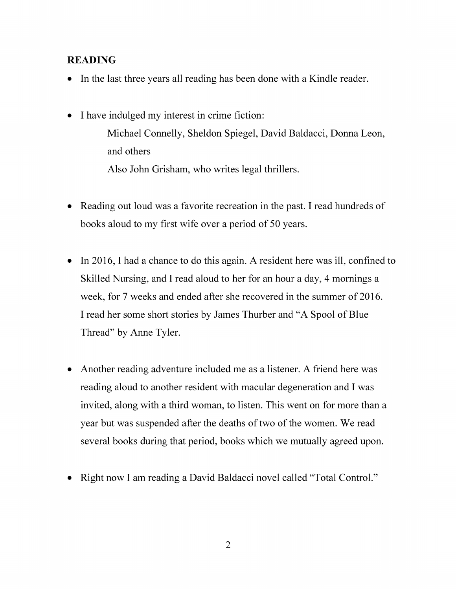## **READING**

- In the last three years all reading has been done with a Kindle reader.
- I have indulged my interest in crime fiction: Michael Connelly, Sheldon Spiegel, David Baldacci, Donna Leon, and others Also John Grisham, who writes legal thrillers.
- Reading out loud was a favorite recreation in the past. I read hundreds of books aloud to my first wife over a period of 50 years.
- In 2016, I had a chance to do this again. A resident here was ill, confined to Skilled Nursing, and I read aloud to her for an hour a day, 4 mornings a week, for 7 weeks and ended after she recovered in the summer of 2016. I read her some short stories by James Thurber and "A Spool of Blue Thread" by Anne Tyler.
- Another reading adventure included me as a listener. A friend here was reading aloud to another resident with macular degeneration and I was invited, along with a third woman, to listen. This went on for more than a year but was suspended after the deaths of two of the women. We read several books during that period, books which we mutually agreed upon.
- Right now I am reading a David Baldacci novel called "Total Control."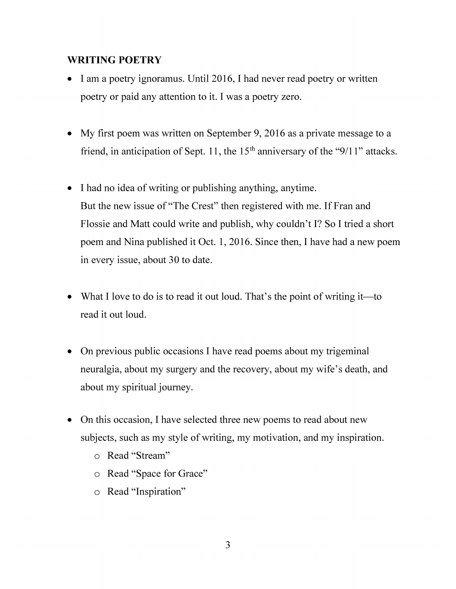#### **WRITING POETRY**

- I am a poetry ignoramus. Until 2016, I had never read poetry or written poetry or paid any attention to it. I was a poetry zero.
- My first poem was written on September 9, 2016 as a private message to a friend, in anticipation of Sept. 11, the  $15<sup>th</sup>$  anniversary of the "9/11" attacks.
- I had no idea of writing or publishing anything, anytime. But the new issue of "The Crest" then registered with me. If Fran and Flossie and Matt could write and publish, why couldn't I? So I tried a short poem and Nina published it Oct. 1, 2016. Since then, I have had a new poem in every issue, about 30 to date.
- What I love to do is to read it out loud. That's the point of writing it—to read it out loud.
- On previous public occasions I have read poems about my trigeminal neuralgia, about my surgery and the recovery, about my wife's death, and about my spiritual journey.
- On this occasion, I have selected three new poems to read about new subjects, such as my style of writing, my motivation, and my inspiration.
	- o Read "Stream"
	- o Read "Space for Grace"
	- o Read "Inspiration"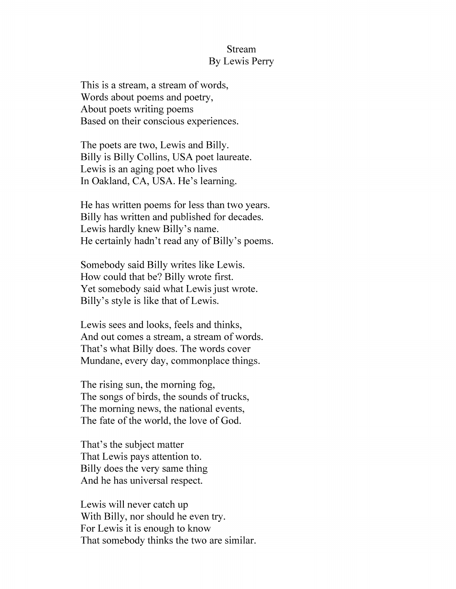#### Stream By Lewis Perry

This is a stream, a stream of words, Words about poems and poetry, About poets writing poems Based on their conscious experiences.

The poets are two, Lewis and Billy. Billy is Billy Collins, USA poet laureate. Lewis is an aging poet who lives In Oakland, CA, USA. He's learning.

He has written poems for less than two years. Billy has written and published for decades. Lewis hardly knew Billy's name. He certainly hadn't read any of Billy's poems.

Somebody said Billy writes like Lewis. How could that be? Billy wrote first. Yet somebody said what Lewis just wrote. Billy's style is like that of Lewis.

Lewis sees and looks, feels and thinks, And out comes a stream, a stream of words. That's what Billy does. The words cover Mundane, every day, commonplace things.

The rising sun, the morning fog, The songs of birds, the sounds of trucks, The morning news, the national events, The fate of the world, the love of God.

That's the subject matter That Lewis pays attention to. Billy does the very same thing And he has universal respect.

Lewis will never catch up With Billy, nor should he even try. For Lewis it is enough to know That somebody thinks the two are similar.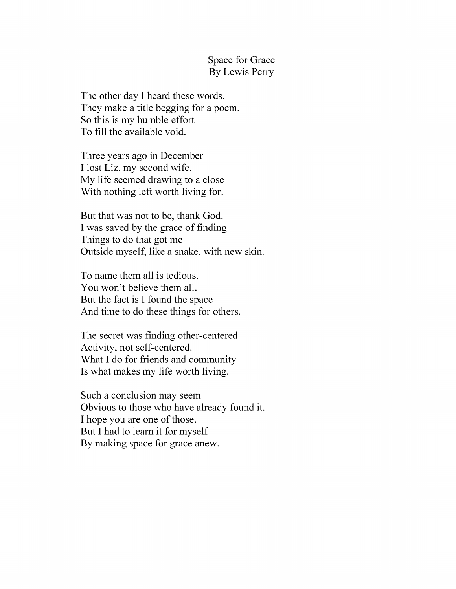Space for Grace By Lewis Perry

The other day I heard these words. They make a title begging for a poem. So this is my humble effort To fill the available void.

Three years ago in December I lost Liz, my second wife. My life seemed drawing to a close With nothing left worth living for.

But that was not to be, thank God. I was saved by the grace of finding Things to do that got me Outside myself, like a snake, with new skin.

To name them all is tedious. You won't believe them all. But the fact is I found the space And time to do these things for others.

The secret was finding other-centered Activity, not self-centered. What I do for friends and community Is what makes my life worth living.

Such a conclusion may seem Obvious to those who have already found it. I hope you are one of those. But I had to learn it for myself By making space for grace anew.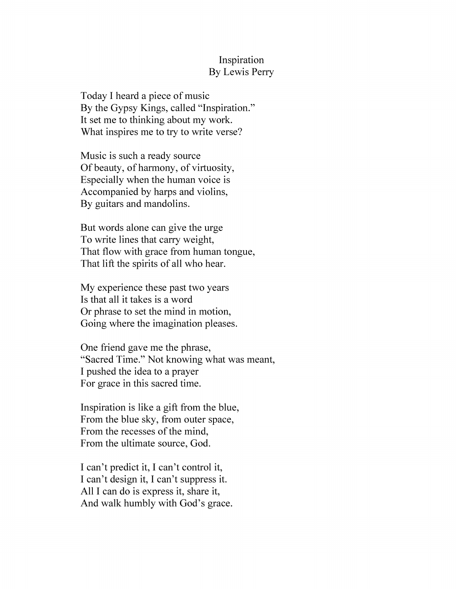#### Inspiration By Lewis Perry

Today I heard a piece of music By the Gypsy Kings, called "Inspiration." It set me to thinking about my work. What inspires me to try to write verse?

Music is such a ready source Of beauty, of harmony, of virtuosity, Especially when the human voice is Accompanied by harps and violins, By guitars and mandolins.

But words alone can give the urge To write lines that carry weight, That flow with grace from human tongue, That lift the spirits of all who hear.

My experience these past two years Is that all it takes is a word Or phrase to set the mind in motion, Going where the imagination pleases.

One friend gave me the phrase, "Sacred Time." Not knowing what was meant, I pushed the idea to a prayer For grace in this sacred time.

Inspiration is like a gift from the blue, From the blue sky, from outer space, From the recesses of the mind, From the ultimate source, God.

I can't predict it, I can't control it, I can't design it, I can't suppress it. All I can do is express it, share it, And walk humbly with God's grace.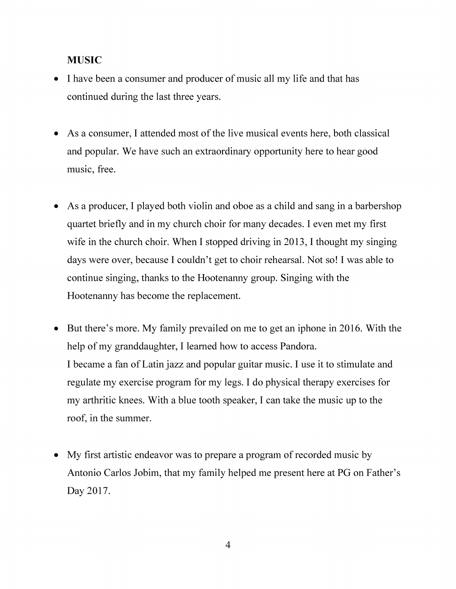## **MUSIC**

- I have been a consumer and producer of music all my life and that has continued during the last three years.
- As a consumer, I attended most of the live musical events here, both classical and popular. We have such an extraordinary opportunity here to hear good music, free.
- As a producer, I played both violin and oboe as a child and sang in a barbershop quartet briefly and in my church choir for many decades. I even met my first wife in the church choir. When I stopped driving in 2013, I thought my singing days were over, because I couldn't get to choir rehearsal. Not so! I was able to continue singing, thanks to the Hootenanny group. Singing with the Hootenanny has become the replacement.
- But there's more. My family prevailed on me to get an iphone in 2016. With the help of my granddaughter, I learned how to access Pandora. I became a fan of Latin jazz and popular guitar music. I use it to stimulate and regulate my exercise program for my legs. I do physical therapy exercises for my arthritic knees. With a blue tooth speaker, I can take the music up to the roof, in the summer.
- My first artistic endeavor was to prepare a program of recorded music by Antonio Carlos Jobim, that my family helped me present here at PG on Father's Day 2017.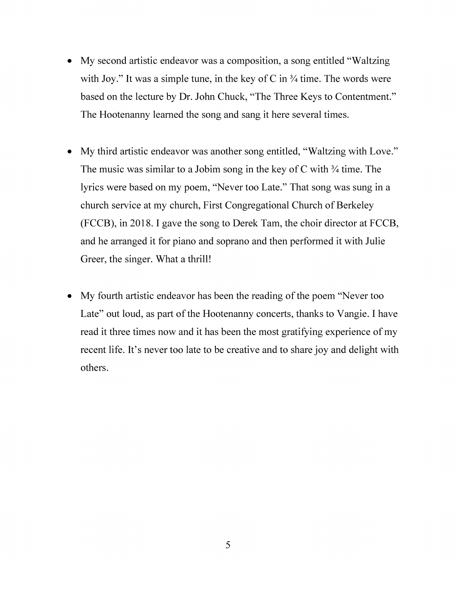- My second artistic endeavor was a composition, a song entitled "Waltzing with Joy." It was a simple tune, in the key of C in  $\frac{3}{4}$  time. The words were based on the lecture by Dr. John Chuck, "The Three Keys to Contentment." The Hootenanny learned the song and sang it here several times.
- My third artistic endeavor was another song entitled, "Waltzing with Love." The music was similar to a Jobim song in the key of C with  $\frac{3}{4}$  time. The lyrics were based on my poem, "Never too Late." That song was sung in a church service at my church, First Congregational Church of Berkeley (FCCB), in 2018.1 gave the song to Derek Tam, the choir director at FCCB, and he arranged it for piano and soprano and then performed it with Julie Greer, the singer. What a thrill!
- My fourth artistic endeavor has been the reading of the poem "Never too Late" out loud, as part of the Hootenanny concerts, thanks to Vangie. I have read it three times now and it has been the most gratifying experience of my recent life. It's never too late to be creative and to share joy and delight with others.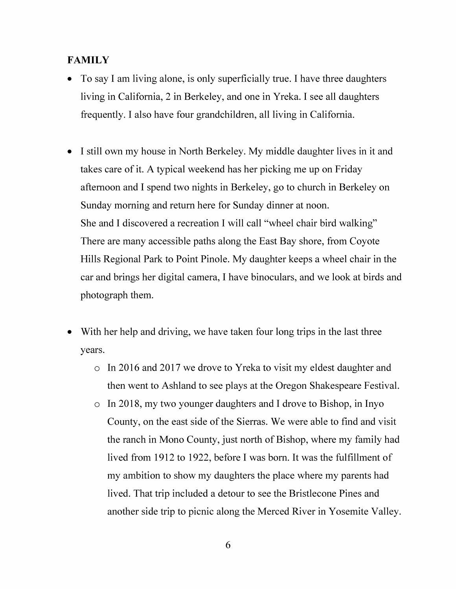## **FAMILY**

- To say I am living alone, is only superficially true. I have three daughters living in California, 2 in Berkeley, and one in Yreka. I see all daughters frequently. I also have four grandchildren, all living in California.
- I still own my house in North Berkeley. My middle daughter lives in it and takes care of it. A typical weekend has her picking me up on Friday afternoon and I spend two nights in Berkeley, go to church in Berkeley on Sunday morning and return here for Sunday dinner at noon. She and I discovered a recreation I will call "wheel chair bird walking" There are many accessible paths along the East Bay shore, from Coyote Hills Regional Park to Point Pinole. My daughter keeps a wheel chair in the car and brings her digital camera, I have binoculars, and we look at birds and photograph them.
- With her help and driving, we have taken four long trips in the last three years.
	- o In 2016 and 2017 we drove to Yreka to visit my eldest daughter and then went to Ashland to see plays at the Oregon Shakespeare Festival,
	- o In 2018, my two younger daughters and I drove to Bishop, in Inyo County, on the east side of the Sierras. We were able to find and visit the ranch in Mono County, just north of Bishop, where my family had lived from 1912 to 1922, before I was bom. It was the fulfillment of my ambition to show my daughters the place where my parents had lived. That trip included a detour to see the Bristlecone Pines and another side trip to picnic along the Merced River in Yosemite Valley.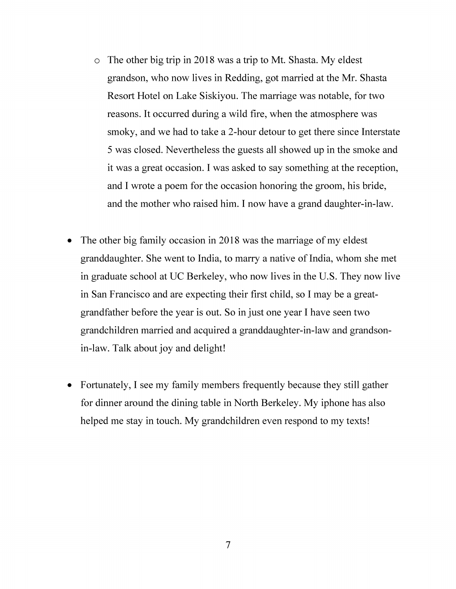- o The other big trip in 2018 was a trip to Mt. Shasta. My eldest grandson, who now lives in Redding, got married at the Mr. Shasta Resort Hotel on Lake Siskiyou. The marriage was notable, for two reasons. It occurred during a wild fire, when the atmosphere was smoky, and we had to take a 2-hour detour to get there since Interstate 5 was closed. Nevertheless the guests all showed up in the smoke and it was a great occasion. I was asked to say something at the reception, and I wrote a poem for the occasion honoring the groom, his bride, and the mother who raised him. I now have a grand daughter-in-law.
- The other big family occasion in 2018 was the marriage of my eldest granddaughter. She went to India, to marry a native of India, whom she met in graduate school at UC Berkeley, who now lives in the U.S. They now live in San Francisco and are expecting their first child, so I may be a greatgrandfather before the year is out. So in just one year I have seen two grandchildren married and acquired a granddaughter-in-law and grandsonin-law. Talk about joy and delight!
- Fortunately, I see my family members frequently because they still gather for dinner around the dining table in North Berkeley. My iphone has also helped me stay in touch. My grandchildren even respond to my texts!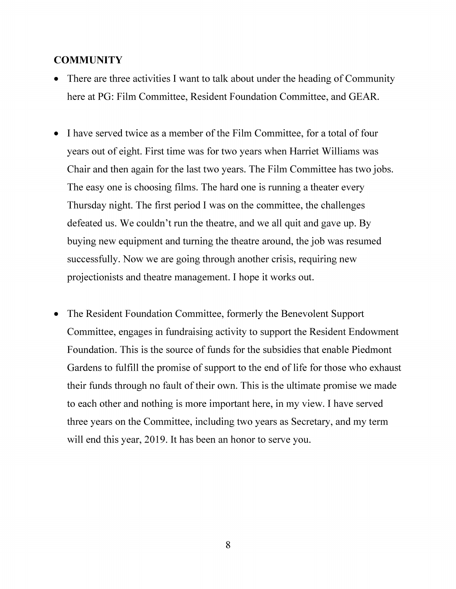#### **COMMUNITY**

- There are three activities I want to talk about under the heading of Community here at PG: Film Committee, Resident Foundation Committee, and GEAR.
- I have served twice as a member of the Film Committee, for a total of four years out of eight. First time was for two years when Harriet Williams was Chair and then again for the last two years. The Film Committee has two jobs. The easy one is choosing films. The hard one is running a theater every Thursday night. The first period I was on the committee, the challenges defeated us. We couldn't run the theatre, and we all quit and gave up. By buying new equipment and turning the theatre around, the job was resumed successfully. Now we are going through another crisis, requiring new projectionists and theatre management. I hope it works out.
- The Resident Foundation Committee, formerly the Benevolent Support Committee, engages in fundraising activity to support the Resident Endowment Foundation. This is the source of funds for the subsidies that enable Piedmont Gardens to fulfill the promise of support to the end of life for those who exhaust their funds through no fault of their own. This is the ultimate promise we made to each other and nothing is more important here, in my view. I have served three years on the Committee, including two years as Secretary, and my term will end this year, 2019. It has been an honor to serve you.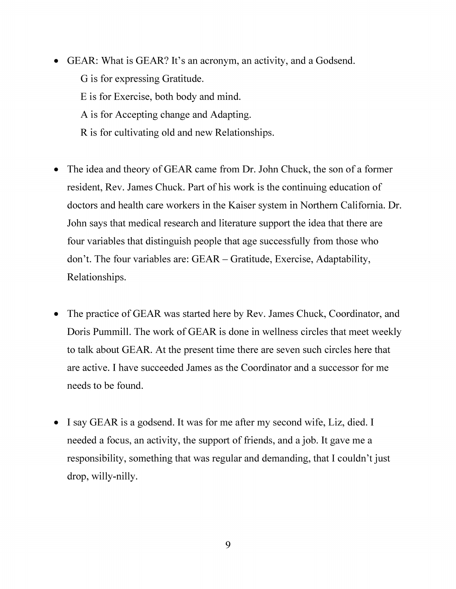- GEAR: What is GEAR? It's an acronym, an activity, and a Godsend. G is for expressing Gratitude. E is for Exercise, both body and mind. A is for Accepting change and Adapting. R is for cultivating old and new Relationships.
- The idea and theory of GEAR came from Dr. John Chuck, the son of a former resident, Rev. James Chuck. Part of his work is the continuing education of doctors and health care workers in the Kaiser system in Northern California. Dr. John says that medical research and literature support the idea that there are four variables that distinguish people that age successfully from those who don't. The four variables are: GEAR - Gratitude, Exercise, Adaptability, Relationships.
- The practice of GEAR was started here by Rev. James Chuck, Coordinator, and Doris Pummill. The work of GEAR is done in wellness circles that meet weekly to talk about GEAR. At the present time there are seven such circles here that are active. I have succeeded James as the Coordinator and a successor for me needs to be found.
- I say GEAR is a godsend. It was for me after my second wife, Liz, died. I needed a focus, an activity, the support of friends, and a job. It gave me a responsibility, something that was regular and demanding, that I couldn't just drop, willy-nilly.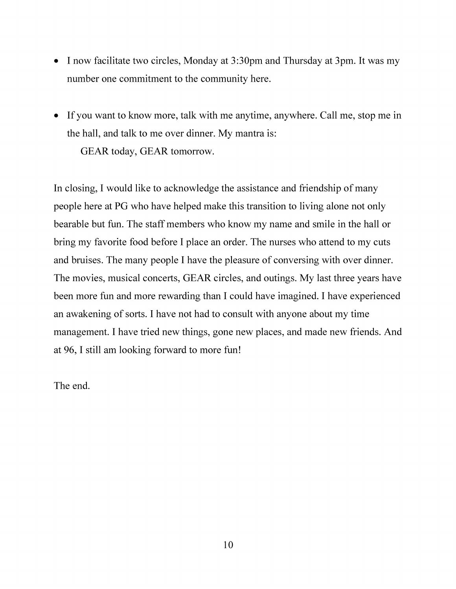- I now facilitate two circles, Monday at 3:30pm and Thursday at 3pm. It was my number one commitment to the community here.
- If you want to know more, talk with me anytime, anywhere. Call me, stop me in the hall, and talk to me over dinner. My mantra is: GEAR today, GEAR tomorrow.

In closing, I would like to acknowledge the assistance and friendship of many people here at PG who have helped make this transition to living alone not only bearable but fun. The staff members who know my name and smile in the hall or bring my favorite food before I place an order. The nurses who attend to my cuts and bruises. The many people I have the pleasure of conversing with over dinner. The movies, musical concerts, GEAR circles, and outings. My last three years have been more fun and more rewarding than I could have imagined. I have experienced an awakening of sorts. I have not had to consult with anyone about my time management. I have tried new things, gone new places, and made new friends. And at 96,1 still am looking forward to more fun!

The end.